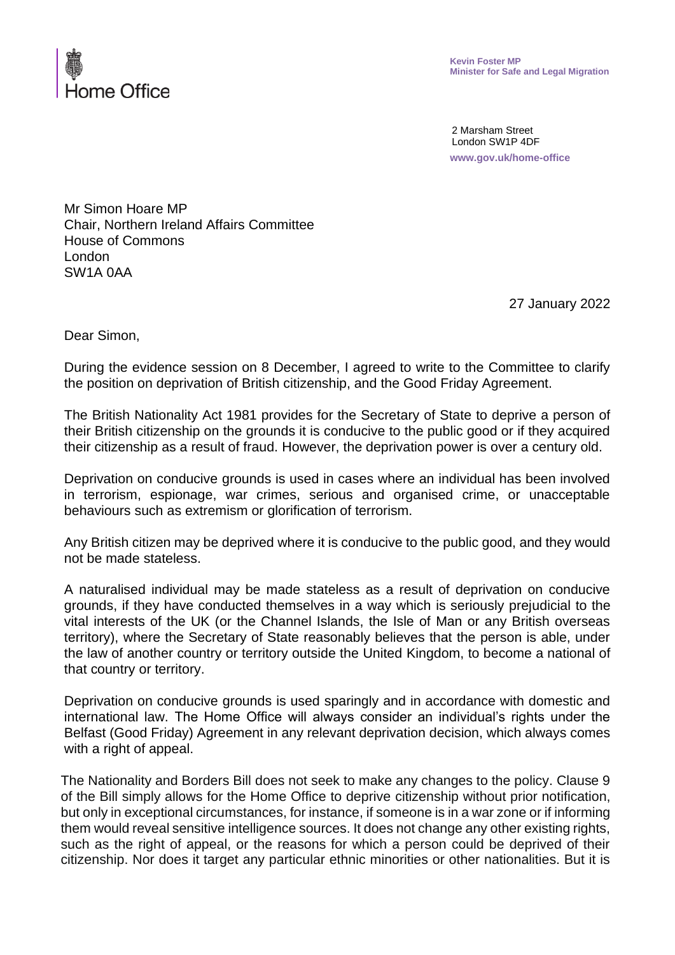

**Kevin Foster MP Minister for Safe and Legal Migration** 

2 Marsham Street London SW1P 4DF **www.gov.uk/home-office**

Mr Simon Hoare MP Chair, Northern Ireland Affairs Committee House of Commons London SW1A 0AA

27 January 2022

Dear Simon,

During the evidence session on 8 December, I agreed to write to the Committee to clarify the position on deprivation of British citizenship, and the Good Friday Agreement.

The British Nationality Act 1981 provides for the Secretary of State to deprive a person of their British citizenship on the grounds it is conducive to the public good or if they acquired their citizenship as a result of fraud. However, the deprivation power is over a century old.

Deprivation on conducive grounds is used in cases where an individual has been involved in terrorism, espionage, war crimes, serious and organised crime, or unacceptable behaviours such as extremism or glorification of terrorism.

Any British citizen may be deprived where it is conducive to the public good, and they would not be made stateless.

A naturalised individual may be made stateless as a result of deprivation on conducive grounds, if they have conducted themselves in a way which is seriously prejudicial to the vital interests of the UK (or the Channel Islands, the Isle of Man or any British overseas territory), where the Secretary of State reasonably believes that the person is able, under the law of another country or territory outside the United Kingdom, to become a national of that country or territory.

Deprivation on conducive grounds is used sparingly and in accordance with domestic and international law. The Home Office will always consider an individual's rights under the Belfast (Good Friday) Agreement in any relevant deprivation decision, which always comes with a right of appeal.

The Nationality and Borders Bill does not seek to make any changes to the policy. Clause 9 of the Bill simply allows for the Home Office to deprive citizenship without prior notification, but only in exceptional circumstances, for instance, if someone is in a war zone or if informing them would reveal sensitive intelligence sources. It does not change any other existing rights, such as the right of appeal, or the reasons for which a person could be deprived of their citizenship. Nor does it target any particular ethnic minorities or other nationalities. But it is